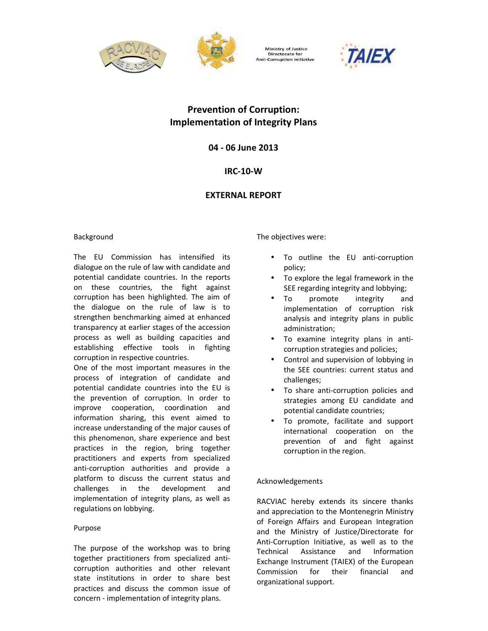



**Ministry of Justice Directorate for Anti-Corruption Initiative** 



# **Prevention of Corruption: Implementation of Integrity Plans**

**04 - 06 June 2013** 

# **IRC-10-W**

# **EXTERNAL REPORT**

### Background

The EU Commission has intensified its dialogue on the rule of law with candidate and potential candidate countries. In the reports on these countries, the fight against corruption has been highlighted. The aim of the dialogue on the rule of law is to strengthen benchmarking aimed at enhanced transparency at earlier stages of the accession process as well as building capacities and establishing effective tools in fighting corruption in respective countries.

One of the most important measures in the process of integration of candidate and potential candidate countries into the EU is the prevention of corruption. In order to improve cooperation, coordination and information sharing, this event aimed to increase understanding of the major causes of this phenomenon, share experience and best practices in the region, bring together practitioners and experts from specialized anti-corruption authorities and provide a platform to discuss the current status and challenges in the development and implementation of integrity plans, as well as regulations on lobbying.

### Purpose

The purpose of the workshop was to bring together practitioners from specialized anticorruption authorities and other relevant state institutions in order to share best practices and discuss the common issue of concern - implementation of integrity plans.

The objectives were:

- To outline the EU anti-corruption policy;
- To explore the legal framework in the SEE regarding integrity and lobbying;
- To promote integrity and implementation of corruption risk analysis and integrity plans in public administration;
- To examine integrity plans in anticorruption strategies and policies;
- Control and supervision of lobbying in the SEE countries: current status and challenges;
- To share anti-corruption policies and strategies among EU candidate and potential candidate countries;
- To promote, facilitate and support international cooperation on the prevention of and fight against corruption in the region.

## Acknowledgements

RACVIAC hereby extends its sincere thanks and appreciation to the Montenegrin Ministry of Foreign Affairs and European Integration and the Ministry of Justice/Directorate for Anti-Corruption Initiative, as well as to the Technical Assistance and Information Exchange Instrument (TAIEX) of the European Commission for their financial and organizational support.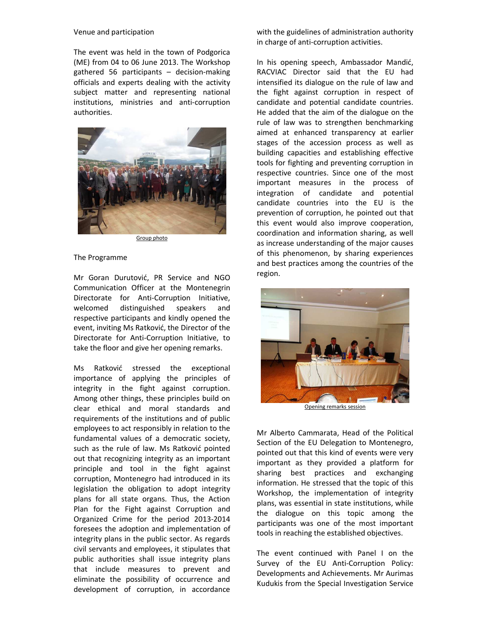#### Venue and participation

The event was held in the town of Podgorica (ME) from 04 to 06 June 2013. The Workshop gathered 56 participants – decision-making officials and experts dealing with the activity subject matter and representing national institutions, ministries and anti-corruption authorities.



Group photo

### The Programme

Mr Goran Durutović, PR Service and NGO Communication Officer at the Montenegrin Directorate for Anti-Corruption Initiative, welcomed distinguished speakers and respective participants and kindly opened the event, inviting Ms Ratković, the Director of the Directorate for Anti-Corruption Initiative, to take the floor and give her opening remarks.

Ms Ratković stressed the exceptional importance of applying the principles of integrity in the fight against corruption. Among other things, these principles build on clear ethical and moral standards and requirements of the institutions and of public employees to act responsibly in relation to the fundamental values of a democratic society, such as the rule of law. Ms Ratković pointed out that recognizing integrity as an important principle and tool in the fight against corruption, Montenegro had introduced in its legislation the obligation to adopt integrity plans for all state organs. Thus, the Action Plan for the Fight against Corruption and Organized Crime for the period 2013-2014 foresees the adoption and implementation of integrity plans in the public sector. As regards civil servants and employees, it stipulates that public authorities shall issue integrity plans that include measures to prevent and eliminate the possibility of occurrence and development of corruption, in accordance with the guidelines of administration authority in charge of anti-corruption activities.

In his opening speech, Ambassador Mandić, RACVIAC Director said that the EU had intensified its dialogue on the rule of law and the fight against corruption in respect of candidate and potential candidate countries. He added that the aim of the dialogue on the rule of law was to strengthen benchmarking aimed at enhanced transparency at earlier stages of the accession process as well as building capacities and establishing effective tools for fighting and preventing corruption in respective countries. Since one of the most important measures in the process of integration of candidate and potential candidate countries into the EU is the prevention of corruption, he pointed out that this event would also improve cooperation, coordination and information sharing, as well as increase understanding of the major causes of this phenomenon, by sharing experiences and best practices among the countries of the region.



Opening remarks session

Mr Alberto Cammarata, Head of the Political Section of the EU Delegation to Montenegro, pointed out that this kind of events were very important as they provided a platform for sharing best practices and exchanging information. He stressed that the topic of this Workshop, the implementation of integrity plans, was essential in state institutions, while the dialogue on this topic among the participants was one of the most important tools in reaching the established objectives.

The event continued with Panel I on the Survey of the EU Anti-Corruption Policy: Developments and Achievements. Mr Aurimas Kudukis from the Special Investigation Service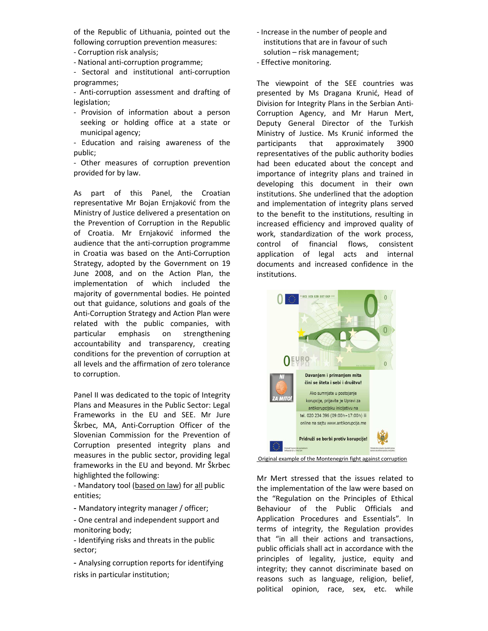of the Republic of Lithuania, pointed out the following corruption prevention measures:

- Corruption risk analysis;
- National anti-corruption programme;

- Sectoral and institutional anti-corruption programmes;

- Anti-corruption assessment and drafting of legislation;

- Provision of information about a person seeking or holding office at a state or municipal agency;

- Education and raising awareness of the public;

- Other measures of corruption prevention provided for by law.

As part of this Panel, the Croatian representative Mr Bojan Ernjaković from the Ministry of Justice delivered a presentation on the Prevention of Corruption in the Republic of Croatia. Mr Ernjaković informed the audience that the anti-corruption programme in Croatia was based on the Anti-Corruption Strategy, adopted by the Government on 19 June 2008, and on the Action Plan, the implementation of which included the majority of governmental bodies. He pointed out that guidance, solutions and goals of the Anti-Corruption Strategy and Action Plan were related with the public companies, with particular emphasis on strengthening accountability and transparency, creating conditions for the prevention of corruption at all levels and the affirmation of zero tolerance to corruption.

Panel II was dedicated to the topic of Integrity Plans and Measures in the Public Sector: Legal Frameworks in the EU and SEE. Mr Jure Škrbec, MA, Anti-Corruption Officer of the Slovenian Commission for the Prevention of Corruption presented integrity plans and measures in the public sector, providing legal frameworks in the EU and beyond. Mr Škrbec highlighted the following:

- Mandatory tool (based on law) for all public entities;

- Mandatory integrity manager / officer;

- One central and independent support and monitoring body;

- Identifying risks and threats in the public sector;

- Analysing corruption reports for identifying risks in particular institution;

- Increase in the number of people and institutions that are in favour of such solution – risk management;
- Effective monitoring.

The viewpoint of the SEE countries was presented by Ms Dragana Krunić, Head of Division for Integrity Plans in the Serbian Anti-Corruption Agency, and Mr Harun Mert, Deputy General Director of the Turkish Ministry of Justice. Ms Krunić informed the participants that approximately 3900 representatives of the public authority bodies had been educated about the concept and importance of integrity plans and trained in developing this document in their own institutions. She underlined that the adoption and implementation of integrity plans served to the benefit to the institutions, resulting in increased efficiency and improved quality of work, standardization of the work process, control of financial flows, consistent application of legal acts and internal documents and increased confidence in the institutions.



Mr Mert stressed that the issues related to the implementation of the law were based on the "Regulation on the Principles of Ethical Behaviour of the Public Officials and Application Procedures and Essentials"*.* In terms of integrity, the Regulation provides that "in all their actions and transactions, public officials shall act in accordance with the principles of legality, justice, equity and integrity; they cannot discriminate based on reasons such as language, religion, belief, political opinion, race, sex, etc. while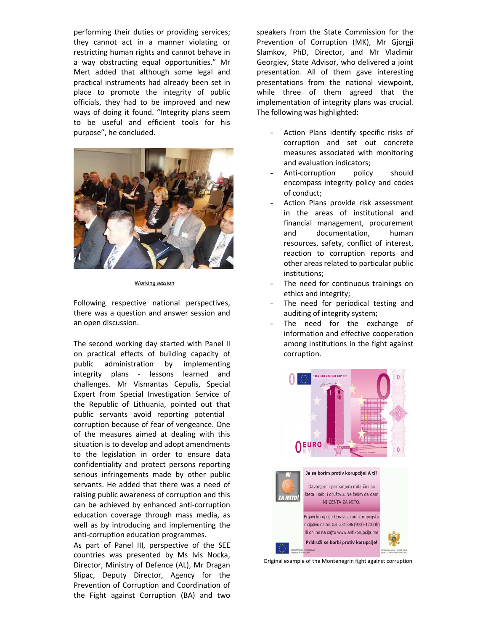performing their duties or providing services; they cannot act in a manner violating or restricting human rights and cannot behave in a way obstructing equal opportunities." Mr Mert added that although some legal and practical instruments had already been set in place to promote the integrity of public officials, they had to be improved and new ways of doing it found. "Integrity plans seem to be useful and efficient tools for his purpose", he concluded.



Working session

Following respective national perspectives, there was a question and answer session and an open discussion.

The second working day started with Panel II on practical effects of building capacity of public administration by implementing integrity plans - lessons learned and challenges. Mr Vismantas Cepulis, Special Expert from Special Investigation Service of the Republic of Lithuania, pointed out that public servants avoid reporting potential corruption because of fear of vengeance. One of the measures aimed at dealing with this situation is to develop and adopt amendments to the legislation in order to ensure data confidentiality and protect persons reporting serious infringements made by other public servants. He added that there was a need of raising public awareness of corruption and this can be achieved by enhanced anti-corruption education coverage through mass media, as well as by introducing and implementing the anti-corruption education programmes.

As part of Panel III, perspective of the SEE countries was presented by Ms Ivis Nocka, Director, Ministry of Defence (AL), Mr Dragan Slipac, Deputy Director, Agency for the Prevention of Corruption and Coordination of the Fight against Corruption (BA) and two speakers from the State Commission for the Prevention of Corruption (MK), Mr Gjorgji Slamkov, PhD, Director, and Mr Vladimir Georgiev, State Advisor, who delivered a joint presentation. All of them gave interesting presentations from the national viewpoint, while three of them agreed that the implementation of integrity plans was crucial. The following was highlighted:

- Action Plans identify specific risks of corruption and set out concrete measures associated with monitoring and evaluation indicators;
- Anti-corruption policy should encompass integrity policy and codes of conduct;
- Action Plans provide risk assessment in the areas of institutional and financial management, procurement and documentation, human resources, safety, conflict of interest, reaction to corruption reports and other areas related to particular public institutions;
- The need for continuous trainings on ethics and integrity;
- The need for periodical testing and auditing of integrity system;
- The need for the exchange of information and effective cooperation among institutions in the fight against corruption.